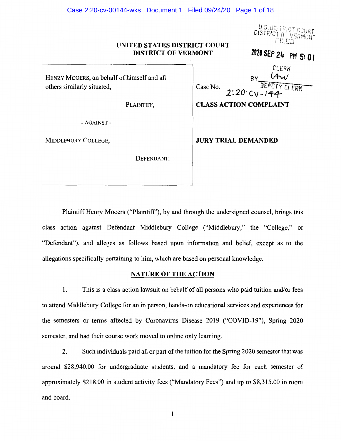#### Case 2:20-cv-00144-wks Document 1 Filed 09/24/20 Page 1 of 18

U.S. DISTRICT COURT

#### **UNITED STATES DISTRICT COURT DISTRICT OF VERMONT**

*<sup>1121</sup>*SEP 24 PH **S: O** I

CLERK

HENRY MOOERS, on behalf of himself and all

-AGAINST-

DEFENDANT.

Case No.  $RY$  $f:K\to H^*\to H^*$ others similarly situated,  $\begin{bmatrix} \text{Case No.} \\ 2.20 \text{ CV} - 144 \end{bmatrix}$   $\begin{bmatrix} \text{IDENTY CLERT} \\ \text{CLERT} \end{bmatrix}$ 

PLAINTIFF, **CLASS ACTION COMPLAINT** 

MIDDLEBURY COLLEGE, **JURY TRIAL DEMANDED** 

Plaintiff Henry Mooers ("Plaintiff'), by and through the undersigned counsel, brings this class action against Defendant Middlebury College ("Middlebury," the "College," or "Defendant"), and alleges as follows based upon information and belief, except as to the allegations specifically pertaining to him, which are based on personal knowledge.

#### **NATURE OF THE ACTION**

1. This is a class action lawsuit on behalf of all persons who paid tuition and/or fees to attend Middlebury College for an in person, hands-on educational services and experiences for the semesters or terms affected by Coronavirus Disease 2019 ("COVID-19"), Spring 2020 semester, and had their course work moved to online only learning.

2. Such individuals paid all or part of the tuition for the Spring 2020 semester that was around \$28,940.00 for undergraduate students, and a mandatory fee for each semester of approximately \$218.00 in student activity fees ("Mandatory Fees") and up to \$8,315.00 in room and board.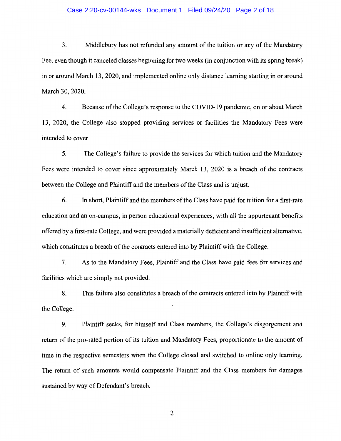#### Case 2:20-cv-00144-wks Document 1 Filed 09/24/20 Page 2 of 18

3. Middlebury has not refunded any amount of the tuition or any of the Mandatory Fee, even though it canceled classes beginning for two weeks (in conjunction with its spring break) in or around March 13, 2020, and implemented online only distance learning starting in or around March 30, 2020.

4. Because of the College's response to the COVID-19 pandemic, on or about March 13, 2020, the College also stopped providing services or facilities the Mandatory Fees were intended to cover.

5. The College's failure to provide the services for which tuition and the Mandatory Fees were intended to cover since approximately March 13, 2020 is a breach of the contracts between the College and Plaintiff and the members of the Class and is unjust.

6. In short, Plaintiff and the members of the Class have paid for tuition for a first-rate education and an on-campus, in person educational experiences, with all the appurtenant benefits offered by a first-rate College, and were provided a materially deficient and insufficient alternative, which constitutes a breach of the contracts entered into by Plaintiff with the College.

7. As to the Mandatory Fees, Plaintiff and the Class have paid fees for services and facilities which are simply not provided.

8. This failure also constitutes a breach of the contracts entered into by Plaintiff with the College.

9. Plaintiff seeks, for himself and Class members, the College's disgorgement and return of the pro-rated portion of its tuition and Mandatory Fees, proportionate to the amount of time in the respective semesters when the College closed and switched to online only learning. The return of such amounts would compensate Plaintiff and the Class members for damages sustained by way of Defendant's breach.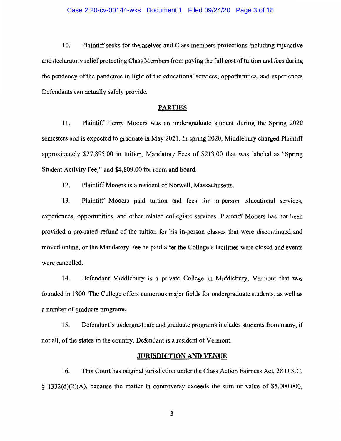10. Plaintiff seeks for themselves and Class members protections including injunctive and declaratory relief protecting Class Members from paying the full cost of tuition and fees during the pendency of the pandemic in light of the educational services, opportunities, and experiences Defendants can actually safely provide.

## **PARTIES**

11. Plaintiff Henry Mooers was an undergraduate student during the Spring 2020 semesters and is expected to graduate in May 2021. In spring 2020, Middlebury charged Plaintiff approximately \$27,895.00 in tuition, Mandatory Fees of \$213.00 that was labeled as "Spring Student Activity Fee," and \$4,809.00 for room and board.

12. Plaintiff Mooers is a resident of Norwell, Massachusetts.

13. Plaintiff Mooers paid tuition and fees for in-person educational services, experiences, opportunities, and other related collegiate services. Plaintiff Mooers has not been provided a pro-rated refund of the tuition for his in-person classes that were discontinued and moved online, or the Mandatory Fee he paid after the College's facilities were closed and events were cancelled.

14. Defendant Middlebury is a private College in Middlebury, Vermont that was founded in 1800. The College offers numerous major fields for undergraduate students, as well as a number of graduate programs.

15. Defendant's undergraduate and graduate programs includes students from many, if not all, of the states in the country. Defendant is a resident of Vermont.

#### **JURISDICTION AND VENUE**

16. This Court has original jurisdiction under the Class Action Fairness Act, 28 U.S.C. § 1332(d)(2)(A), because the matter in controversy exceeds the sum or value of \$5,000,000,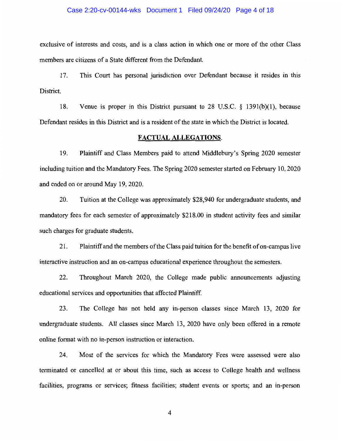#### Case 2:20-cv-00144-wks Document 1 Filed 09/24/20 Page 4 of 18

exclusive of interests and costs, and is a class action in which one or more of the other Class members are citizens of a State different from the Defendant.

17. This Court has personal jurisdiction over Defendant because it resides in this District.

18. Venue is proper in this District pursuant to 28 U.S.C. § 1391(b)(l), because Defendant resides in this District and is a resident of the state in which the District is located.

## **FACTUAL ALLEGATIONS.**

19. Plaintiff and Class Members paid to attend Middlebury's Spring 2020 semester including tuition and the Mandatory Fees. The Spring 2020 semester started on February 10, 2020 and ended on or around May 19, 2020.

20. Tuition at the College was approximately \$28,940 for undergraduate students, and mandatory fees for each semester of approximately \$218.00 in student activity fees and similar such charges for graduate students.

21. Plaintiff and the members of the Class paid tuition for the benefit of on-campus live interactive instruction and an on-campus educational experience throughout the semesters.

22. Throughout March 2020, the College made public announcements adjusting educational services and opportunities that affected Plaintiff.

23. The College has not held any in-person classes since March 13, 2020 for undergraduate students. All classes since March 13, 2020 have only been offered in a remote online format with no in-person instruction or interaction.

24. Most of the services for which the Mandatory Fees were assessed were also terminated or cancelled at or about this time, such as access to College health and wellness facilities, programs or services; fitness facilities; student events or sports; and an in-person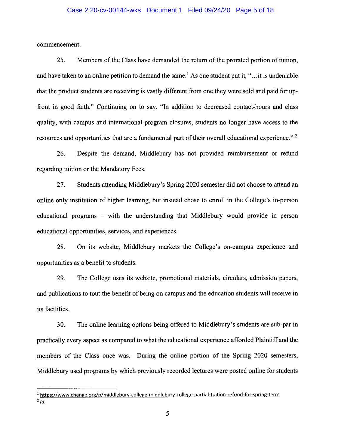#### Case 2:20-cv-00144-wks Document 1 Filed 09/24/20 Page 5 of 18

commencement.

25. Members of the Class have demanded the return of the prorated portion of tuition, and have taken to an online petition to demand the same.<sup>1</sup> As one student put it, " $\dots$  it is undeniable that the product students are receiving is vastly different from one they were sold and paid for upfront in good faith." Continuing on to say, "In addition to decreased contact-hours and class quality, with campus and international program closures, students no longer have access to the resources and opportunities that are a fundamental part of their overall educational experience." <sup>2</sup>

26. Despite the demand, Middlebury has not provided reimbursement or refund regarding tuition or the Mandatory Fees.

27. Students attending Middlebury's Spring 2020 semester did not choose to attend an online only institution of higher learning, but instead chose to enroll in the College's in-person educational programs - with the understanding that Middlebury would provide in person educational opportunities, services, and experiences.

28. On its website, Middlebury markets the College's on-campus experience and opportunities as a benefit to students.

29. The College uses its website, promotional materials, circulars, admission papers, and publications to tout the benefit of being on campus and the education students will receive in its facilities.

30. The online learning options being offered to Middlebury's students are sub-par in practically every aspect as compared to what the educational experience afforded Plaintiff and the members of the Class once was. During the online portion of the Spring 2020 semesters, Middlebury used programs by which previously recorded lectures were posted online for students

<sup>&</sup>lt;sup>1</sup> https://www.change.org/p/middlebury-college-middlebury-college-partial-tuition-refund-for-spring-term  $2/d$ .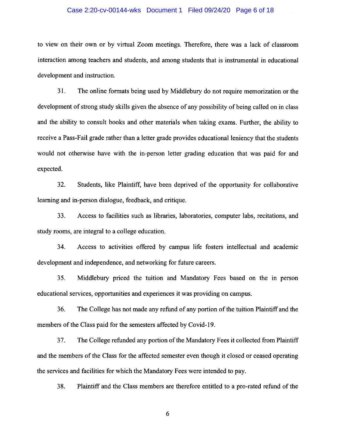#### Case 2:20-cv-00144-wks Document 1 Filed 09/24/20 Page 6 of 18

to view on their own or by virtual Zoom meetings. Therefore, there was a lack of classroom interaction among teachers and students, and among students that is instrumental in educational development and instruction.

31. The online formats being used by Middlebury do not require memorization or the development of strong study skills given the absence of any possibility of being called on in class and the ability to consult books and other materials when taking exams. Further, the ability to receive a Pass-Fail grade rather than a letter grade provides educational leniency that the students would not otherwise have with the in-person letter grading education that was paid for and expected.

32. Students, like Plaintiff, have been deprived of the opportunity for collaborative learning and in-person dialogue, feedback, and critique.

33. Access to facilities such as libraries, laboratories, computer labs, recitations, and study rooms, are integral to a college education.

34. Access to activities offered by campus life fosters intellectual and academic development and independence, and networking for future careers.

35. Middlebury priced the tuition and Mandatory Fees based on the in person educational services, opportunities and experiences it was providing on campus.

36. The College has not made any refund of any portion of the tuition Plaintiff and the members of the Class paid for the semesters affected by Covid-19.

37. The College refunded any portion of the Mandatory Fees it collected from Plaintiff and the members of the Class for the affected semester even though it closed or ceased operating the services and facilities for which the Mandatory Fees were intended to pay.

38. Plaintiff and the Class members are therefore entitled to a pro-rated refund of the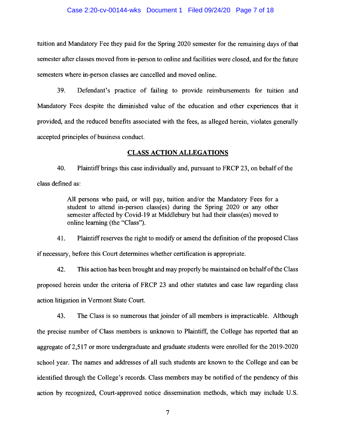#### Case 2:20-cv-00144-wks Document 1 Filed 09/24/20 Page 7 of 18

tuition and Mandatory Fee they paid for the Spring 2020 semester for the remaining days of that semester after classes moved from in-person to online and facilities were closed, and for the future semesters where in-person classes are cancelled and moved online.

39. Defendant's practice of failing to provide reimbursements for tuition and Mandatory Fees despite the diminished value of the education and other experiences that it provided, and the reduced benefits associated with the fees, as alleged herein, violates generally accepted principles of business conduct.

## **CLASS ACTION ALLEGATIONS**

40. Plaintiff brings this case individually and, pursuant to FRCP 23, on behalf of the class defined as:

> All persons who paid, or will pay, tuition and/or the Mandatory Fees for a student to attend in-person class(es) during the Spring 2020 or any other semester affected by Covid-19 at Middlebury but had their class(es) moved to online learning (the "Class").

41. Plaintiff reserves the right to modify or amend the definition of the proposed Class if necessary, before this Court determines whether certification is appropriate.

42. This action has been brought and may properly be maintained on behalf of the Class proposed herein under the criteria of FRCP 23 and other statutes and case law regarding class action litigation in Vermont State Court.

43. The Class is so numerous that joinder of all members is impracticable. Although the precise number of Class members is unknown to Plaintiff, the College has reported that an aggregate of 2,517 or more undergraduate and graduate students were enrolled for the 2019-2020 school year. The names and addresses of all such students are known to the College and can be identified through the College's records. Class members may be notified of the pendency of this action by recognized, Court-approved notice dissemination methods, which may include U.S.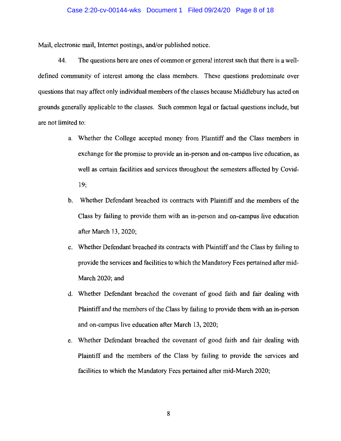#### Case 2:20-cv-00144-wks Document 1 Filed 09/24/20 Page 8 of 18

Mail, electronic mail, Internet postings, and/or published notice.

44. The questions here are ones of common or general interest such that there is a welldefined community of interest among the class members. These questions predominate over questions that may affect only individual members of the classes because Middlebury has acted on grounds generally applicable to the classes. Such common legal or factual questions include, but are not limited to:

- a. Whether the College accepted money from Plaintiff and the Class members in exchange for the promise to provide an in-person and on-campus live education, as well as certain facilities and services throughout the semesters affected by Covid-19;
- b. Whether Defendant breached its contracts with Plaintiff and the members of the Class by failing to provide them with an in-person and on-campus live education after March 13, 2020;
- c. Whether Defendant breached its contracts with Plaintiff and the Class by failing to provide the services and facilities to which the Mandatory Fees pertained after mid-March 2020; and
- d. Whether Defendant breached the covenant of good faith and fair dealing with Plaintiff and the members of the Class by failing to provide them with an in-person and on-campus live education after March 13, 2020;
- e. Whether Defendant breached the covenant of good faith and fair dealing with Plaintiff and the members of the Class by failing to provide the services and facilities to which the Mandatory Fees pertained after mid-March 2020;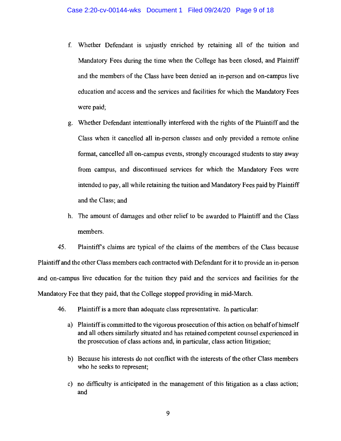- f. Whether Defendant is unjustly enriched by retaining all of the tuition and Mandatory Fees during the time when the College has been closed, and Plaintiff and the members of the Class have been denied an in-person and on-campus live education and access and the services and facilities for which the Mandatory Fees were paid;
- g. Whether Defendant intentionally interfered with the rights of the Plaintiff and the Class when it cancelled all in-person classes and only provided a remote online format, cancelled **all** on-campus events, strongly encouraged students to stay away from campus, and discontinued services for which the Mandatory Fees were intended to pay, all while retaining the tuition and Mandatory Fees paid by Plaintiff and the Class; and
- h. The amount of damages and other relief to be awarded to Plaintiff and the Class members.

45. Plaintiffs claims are typical of the claims of the members of the Class because Plaintiff and the other Class members each contracted with Defendant for it to provide an in-person and on-campus live education for the tuition they paid and the services and facilities for the Mandatory Fee that they paid, that the College stopped providing in mid-March.

- 46. Plaintiff is a more than adequate class representative. In particular:
	- a) Plaintiff is committed to the vigorous prosecution of this action on behalf of himself and all others similarly situated and has retained competent counsel experienced in the prosecution of class actions and, in particular, class action litigation;
	- b) Because his interests do not conflict with the interests of the other Class members who he seeks to represent;
	- c) no difficulty is anticipated in the management of this litigation as a class action; and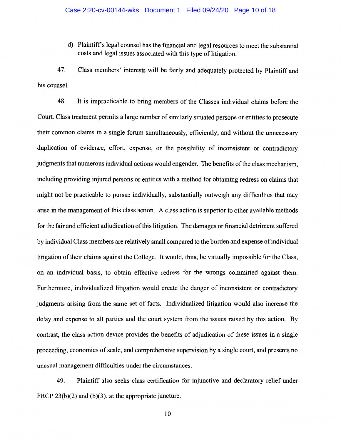d) Plaintiffs legal counsel has the financial and legal resources to meet the substantial costs and legal issues associated with this type of litigation.

47. Class members' interests will be fairly and adequately protected by Plaintiff and his counsel.

48. It is impracticable to bring members of the Classes individual claims before the Court. Class treatment permits a large number of similarly situated persons or entities to prosecute their common claims in a single forum simultaneously, efficiently, and without the unnecessary duplication of evidence, effort, expense, or the possibility of inconsistent or contradictory judgments that numerous individual actions would engender. The benefits of the class mechanism, including providing injured persons or entities with a method for obtaining redress on claims that might not be practicable to pursue individually, substantially outweigh any difficulties that may arise in the management of this class action. A class action is superior to other available methods for the fair and efficient adjudication of this litigation. The damages or financial detriment suffered by individual Class members are relatively small compared to the burden and expense of individual litigation of their claims against the College. It would, thus, be virtually impossible for the Class, on an individual basis, to obtain effective redress for the wrongs committed against them. Furthermore, individualized litigation would create the danger of inconsistent or contradictory judgments arising from the same set of facts. Individualized litigation would also increase the delay and expense to all parties and the court system from the issues raised by this action. By contrast, the class action device provides the benefits of adjudication of these issues in a single proceeding, economies of scale, and comprehensive supervision by a single court, and presents no unusual management difficulties under the circumstances.

49. Plaintiff also seeks class certification for injunctive and declaratory relief under FRCP 23(b)(2) and (b)(3), at the appropriate juncture.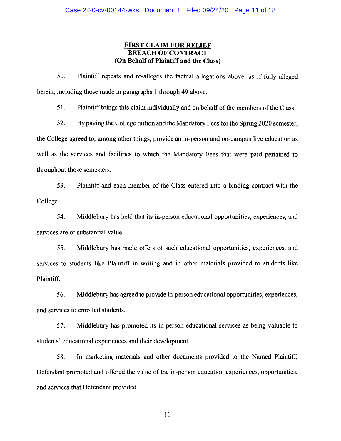# **FIRST CLAIM FOR RELIEF BREACH OF CONTRACT (On Behalf of Plaintiff and the Class)**

50. Plaintiff repeats and re-alleges the factual allegations above, as if fully alleged herein, including those made in paragraphs 1 through 49 above.

51. Plaintiff brings this claim individually and on behalf of the members of the Class.

52. By paying the College tuition and the Mandatory Fees for the Spring 2020 semester, the College agreed to, among other things, provide an in-person and on-campus live education as well as the services and facilities to which the Mandatory Fees that were paid pertained to throughout those semesters.

53. Plaintiff and each member of the Class entered into a binding contract with the College.

54. Middlebury has held that its in-person educational opportunities, experiences, and services are of substantial value.

55. Middlebury has made offers of such educational opportunities, experiences, and services to students like Plaintiff in writing and in other materials provided to students like Plaintiff.

56. Middlebury has agreed to provide in-person educational opportunities, experiences, and services to enrolled students.

57. Middlebury has promoted its in-person educational services as being valuable to students' educational experiences and their development.

58. In marketing materials and other documents provided to the Named Plaintiff, Defendant promoted and offered the value of the in-person education experiences, opportunities, and services that Defendant provided.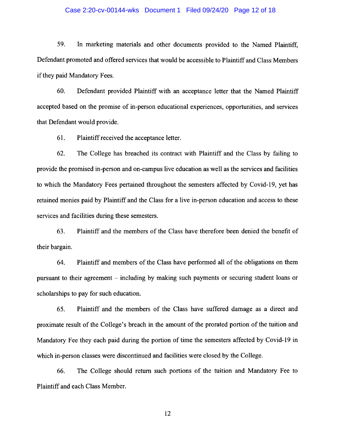#### Case 2:20-cv-00144-wks Document 1 Filed 09/24/20 Page 12 of 18

59. In marketing materials and other documents provided to the Named Plaintiff, Defendant promoted and offered services that would be accessible to Plaintiff and Class Members if they paid Mandatory Fees.

60. Defendant provided Plaintiff with an acceptance letter that the Named Plaintiff accepted based on the promise of in-person educational experiences, opportunities, and services that Defendant would provide.

61. Plaintiff received the acceptance letter.

62. The College has breached its contract with Plaintiff and the Class by failing to provide the promised in-person and on-campus live education as well as the services and facilities to which the Mandatory Fees pertained throughout the semesters affected by Covid-19, yet has retained monies paid by Plaintiff and the Class for a live in-person education and access to these services and facilities during these semesters.

63. Plaintiff and the members of the Class have therefore been denied the benefit of their bargain.

64. Plaintiff and members of the Class have performed all of the obligations on them pursuant to their agreement - including by making such payments or securing student loans or scholarships to pay for such education.

65. Plaintiff and the members of the Class have suffered damage as a direct and proximate result of the College's breach in the amount of the prorated portion of the tuition and Mandatory Fee they each paid during the portion of time the semesters affected by Covid-19 in which in-person classes were discontinued and facilities were closed by the College.

66. The College should return such portions of the tuition and Mandatory Fee to Plaintiff and each Class Member.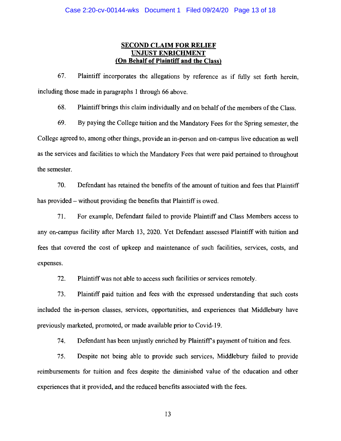## **SECOND CLAIM FOR RELIEF UNJUST ENRICHMENT (On Behalf of Plaintiff and the Class)**

67. Plaintiff incorporates the allegations by reference as if fully set forth herein, including those made in paragraphs 1 through 66 above.

68. Plaintiff brings this claim individually and on behalf of the members of the Class.

69. By paying the College tuition and the Mandatory Fees for the Spring semester, the College agreed to, among other things, provide an in-person and on-campus live education as well as the services and facilities to which the Mandatory Fees that were paid pertained to throughout the semester.

70. Defendant has retained the benefits of the amount of tuition and fees that Plaintiff has provided – without providing the benefits that Plaintiff is owed.

71. For example, Defendant failed to provide Plaintiff and Class Members access to any on-campus facility after March 13, 2020. Yet Defendant assessed Plaintiff with tuition and fees that covered the cost of upkeep and maintenance of such facilities, services, costs, and expenses.

72. Plaintiff was not able to access such facilities or services remotely.

73. Plaintiff paid tuition and fees with the expressed understanding that such costs included the in-person classes, services, opportunities, and experiences that Middlebury have previously marketed, promoted, or made available prior to Covid-19.

74. Defendant has been unjustly enriched by Plaintiff's payment of tuition and fees.

75. Despite not being able to provide such services, Middlebury failed to provide reimbursements for tuition and fees despite the diminished value of the education and other experiences that it provided, and the reduced benefits associated with the fees.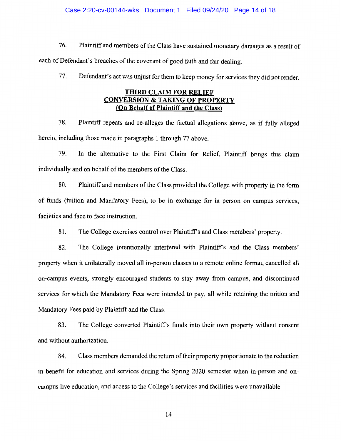#### Case 2:20-cv-00144-wks Document 1 Filed 09/24/20 Page 14 of 18

76. Plaintiff and members of the Class have sustained monetary damages as a result of each of Defendant's breaches of the covenant of good faith and fair dealing.

77. Defendant's act was unjust for them to keep money for services they did not render.

# **THIRD CLAIM FOR RELIEF CONVERSION & TAKING OF PROPERTY (On Behalf of Plaintiff and the Class)**

78. Plaintiff repeats and re-alleges the factual allegations above, as if fully alleged herein, including those made in paragraphs 1 through 77 above.

79. In the alternative to the First Claim for Relief, Plaintiff brings this claim individually and on behalf of the members of the Class.

80. Plaintiff and members of the Class provided the College with property in the form of funds (tuition and Mandatory Fees), to be in exchange for in person on campus services, facilities and face to face instruction.

81. The College exercises control over Plaintiffs and Class members' property.

82. The College intentionally interfered with Plaintiffs and the Class members' property when it unilaterally moved all in-person classes to a remote online format, cancelled all on-campus events, strongly encouraged students to stay away from campus, and discontinued services for which the Mandatory Fees were intended to pay, all while retaining the tuition and Mandatory Fees paid by Plaintiff and the Class.

83. The College converted Plaintiff's funds into their own property without consent and without authorization.

84. Class members demanded the return of their property proportionate to the reduction in benefit for education and services during the Spring 2020 semester when in-person and oncampus live education, and access to the College's services and facilities were unavailable.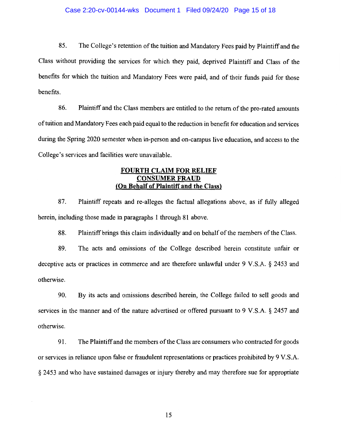85. The College's retention of the tuition and Mandatory Fees paid by Plaintiff and the Class without providing the services for which they paid, deprived Plaintiff and Class of the benefits for which the tuition and Mandatory Fees were paid, and of their funds paid for those benefits.

86. Plaintiff and the Class members are entitled to the return of the pro-rated amounts of tuition and Mandatory Fees each paid equal to the reduction in benefit for education and services during the Spring 2020 semester when in-person and on-campus live education, and access to the College's services and facilities were unavailable.

## **FOURTH CLAIM FOR RELIEF CONSUMER FRAUD {On Behalf of Plaintiff and the Class)**

87. Plaintiff repeats and re-alleges the factual allegations above, as if fully alleged herein, including those made in paragraphs 1 through 81 above.

88. Plaintiff brings this claim individually and on behalf of the members of the Class.

89. The acts and omissions of the College described herein constitute unfair or deceptive acts or practices in commerce and are therefore unlawful under 9 V.S.A. § 2453 and otherwise.

90. By its acts and omissions described herein, the College failed to sell goods and services in the manner and of the nature advertised or offered pursuant to 9 V.S.A. § 2457 and otherwise.

91. The Plaintiff and the members of the Class are consumers who contracted for goods or services in reliance upon false or fraudulent representations or practices prohibited by 9 V.S.A. § 2453 and who have sustained damages or injury thereby and may therefore sue for appropriate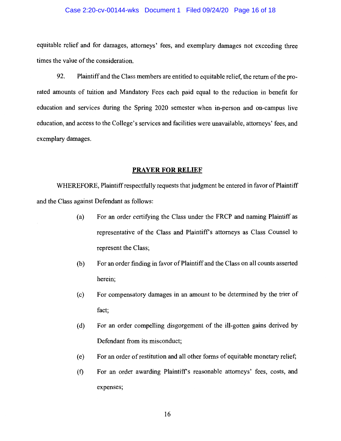#### Case 2:20-cv-00144-wks Document 1 Filed 09/24/20 Page 16 of 18

equitable relief and for damages, attorneys' fees, and exemplary damages not exceeding three times the value of the consideration.

92. Plaintiff and the Class members are entitled to equitable relief, the return of the prorated amounts of tuition and Mandatory Fees each paid equal to the reduction in benefit for education and services during the Spring 2020 semester when in-person and on-campus live education, and access to the College's services and facilities were unavailable, attorneys' fees, and exemplary damages.

## **PRAYER FOR RELIEF**

WHEREFORE, Plaintiff respectfully requests that judgment be entered in favor of Plaintiff and the Class against Defendant as follows:

- (a) For an order certifying the Class under the FRCP and naming Plaintiff as representative of the Class and Plaintiff's attorneys as Class Counsel to represent the Class;
- (b) For an order finding in favor of Plaintiff and the Class on all counts asserted herein;
- ( c) For compensatory damages in an amount to be determined by the trier of fact;
- (d) For an order compelling disgorgement of the ill-gotten gains derived by Defendant from its misconduct;
- ( e) For an order of restitution and all other forms of equitable monetary relief;
- (f) For an order awarding Plaintiff's reasonable attorneys' fees, costs, and expenses;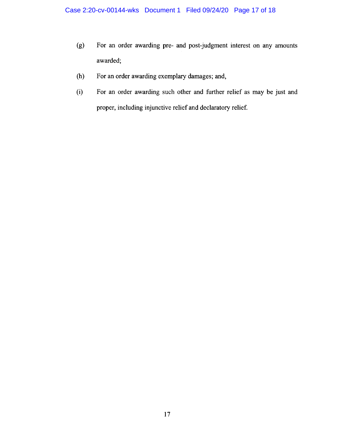- (g) For an order awarding pre- and post-judgment interest on any amounts awarded;
- (h) For an order awarding exemplary damages; and,
- (i) For an order awarding such other and further relief as may be just and proper, including injunctive relief and declaratory relief.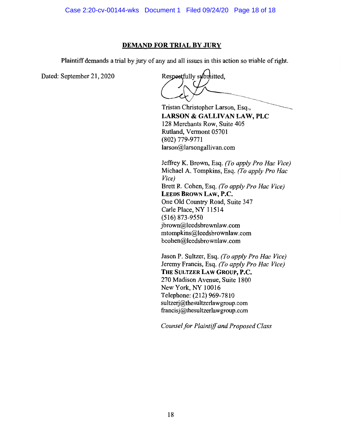# **DEMAND FOR TRIAL BY JURY**

Plaintiff demands a trial by jury of any and all issues in this action so triable of right.

Dated: September 21, 2020

Respectfully submitted,

Tristan Christopher Larson, Esq., **LARSON** & **GALLIVAN LAW, PLC**  128 Merchants Row, Suite 405 Rutland, Vermont 05701 (802) 779-9771 larson@larsongallivan.com

Jeffrey K. Brown, Esq. *(To apply Pro Hae Vice)*  Michael A. Tompkins, Esq. *(To apply Pro Hae Vice)*  Brett R. Cohen, Esq. *(To apply Pro Hae Vice)*  **LEEDS BROWN LAW, P.C.**  One Old Country Road, Suite 347 Carle Place, NY 11514 (516) 873-9550 jbrown@leedsbrownlaw.com mtompkins@leedsbrownlaw.com bcohen@leedsbrownlaw.com

Jason P. Sultzer, Esq. *(To apply Pro Hae Vice)*  Jeremy Francis, Esq. *(To apply Pro Hae Vice)*  **THE SULTZER LAW GROUP, P.C.** 270 Madison Avenue, Suite 1800 New York, NY 10016 Telephone: (212) 969-7810 sultzerj@thesultzerlawgroup.com francisj@thesultzerlawgroup.com

*Counsel for Plaintiff and Proposed Class*